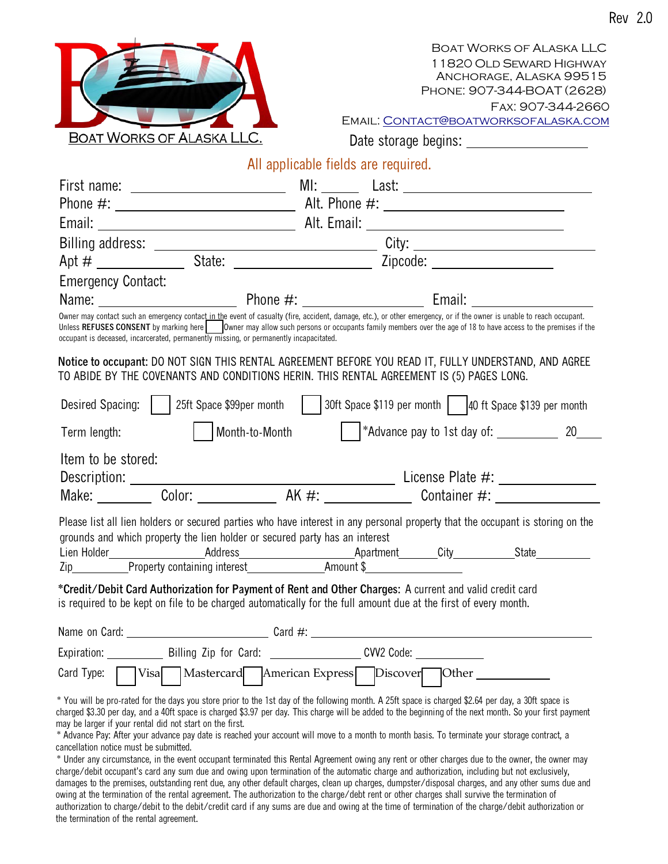

Boat Works of Alaska LLC 11820 Old Seward Highway Anchorage, Alaska 99515 Phone: 907-344-BOAT (2628) Fax: 907-344-2660 Email: [Contact@boatworksofalaska.com](mailto:Contact@boatworksofalaska.com)

Date storage begins:

# Desired Spacing: | | 25ft Space \$99per month | | 30ft Space \$119 per month | | 40 ft Space \$139 per month All applicable fields are required. First name: MI: Last: Phone #: Alt. Phone #: Email: Alt. Email: Billing address: City: Apt # State: Zipcode: Emergency Contact: Name: Phone #: Email: Owner may contact such an emergency contac<u>t in th</u>e event of casualty (fire, accident, damage, etc.), or other emergency, or if the owner is unable to reach occupant. Unless **REFUSES CONSENT** by marking here **Owner may allow such persons or occupants** family members over the age of 18 to have access to the premises if the occupant is deceased, incarcerated, permanently missing, or permanently incapacitated. **Notice to occupant:** DO NOT SIGN THIS RENTAL AGREEMENT BEFORE YOU READ IT, FULLY UNDERSTAND, AND AGREE TO ABIDE BY THE COVENANTS AND CONDITIONS HERIN. THIS RENTAL AGREEMENT IS (5) PAGES LONG. Term length: Item to be stored: Month-to-Month \*Advance pay to 1st day of: 20 Description: License Plate #: Make: \_\_\_\_\_\_\_\_\_\_\_ Color: \_\_\_\_\_\_\_\_\_\_\_\_\_\_\_\_ AK #: \_\_\_\_\_\_\_\_\_\_\_\_\_\_\_\_\_ Container #: Please list all lien holders or secured parties who have interest in any personal property that the occupant is storing on the grounds and which property the lien holder or secured party has an interest Lien Holder Address Apartment City State Zip Property containing interest Amount \$ **\*Credit/Debit Card Authorization for Payment of Rent and Other Charges:** A current and valid credit card is required to be kept on file to be charged automatically for the full amount due at the first of every month. Name on Card: Card #: Expiration: Billing Zip for Card: CVV2 Code: Card Type: Visa Mastercard American Express Discover Other \* You will be pro-rated for the days you store prior to the 1st day of the following month. A 25ft space is charged \$2.64 per day, a 30ft space is charged \$3.30 per day, and a 40ft space is charged \$3.97 per day. This charge will be added to the beginning of the next month. So your first payment may be larger if your rental did not start on the first. \* Advance Pay: After your advance pay date is reached your account will move to a month to month basis. To terminate your storage contract, a cancellation notice must be submitted. \* Under any circumstance, in the event occupant terminated this Rental Agreement owing any rent or other charges due to the owner, the owner may

charge/debit occupant's card any sum due and owing upon termination of the automatic charge and authorization, including but not exclusively, damages to the premises, outstanding rent due, any other default charges, clean up charges, dumpster/disposal charges, and any other sums due and owing at the termination of the rental agreement. The authorization to the charge/debt rent or other charges shall survive the termination of authorization to charge/debit to the debit/credit card if any sums are due and owing at the time of termination of the charge/debit authorization or the termination of the rental agreement.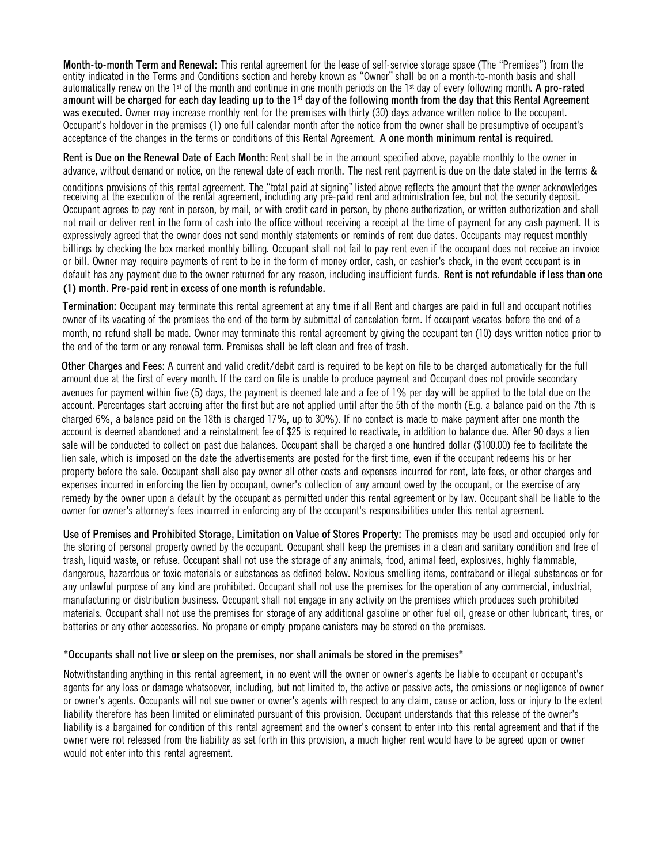**Month-to-month Term and Renewal:** This rental agreement for the lease of self-service storage space (The "Premises") from the entity indicated in the Terms and Conditions section and hereby known as "Owner" shall be on a month-to-month basis and shall automatically renew on the 1st of the month and continue in one month periods on the 1st day of every following month. **A pro-rated** amount will be charged for each day leading up to the  $1<sup>st</sup>$  day of the following month from the day that this Rental Agreement **was executed**. Owner may increase monthly rent for the premises with thirty (30) days advance written notice to the occupant. Occupant's holdover in the premises (1) one full calendar month after the notice from the owner shall be presumptive of occupant's acceptance of the changes in the terms or conditions of this Rental Agreement. **A one month minimum rental is required.**

**Rent is Due on the Renewal Date of Each Month:** Rent shall be in the amount specified above, payable monthly to the owner in advance, without demand or notice, on the renewal date of each month. The nest rent payment is due on the date stated in the terms &

conditions provisions of this rental agreement. The "total paid at signing" listed above reflects the amount that the owner acknowledges receiving at the execution of the rental agreement, including any pre-paid rent and a Occupant agrees to pay rent in person, by mail, or with credit card in person, by phone authorization, or written authorization and shall not mail or deliver rent in the form of cash into the office without receiving a receipt at the time of payment for any cash payment. It is expressively agreed that the owner does not send monthly statements or reminds of rent due dates. Occupants may request monthly billings by checking the box marked monthly billing. Occupant shall not fail to pay rent even if the occupant does not receive an invoice or bill. Owner may require payments of rent to be in the form of money order, cash, or cashier's check, in the event occupant is in default has any payment due to the owner returned for any reason, including insufficient funds. **Rent is not refundable if less than one (1) month. Pre-paid rent in excess of one month is refundable.**

**Termination:** Occupant may terminate this rental agreement at any time if all Rent and charges are paid in full and occupant notifies owner of its vacating of the premises the end of the term by submittal of cancelation form. If occupant vacates before the end of a month, no refund shall be made. Owner may terminate this rental agreement by giving the occupant ten (10) days written notice prior to the end of the term or any renewal term. Premises shall be left clean and free of trash.

**Other Charges and Fees:** A current and valid credit/debit card is required to be kept on file to be charged automatically for the full amount due at the first of every month. If the card on file is unable to produce payment and Occupant does not provide secondary avenues for payment within five (5) days, the payment is deemed late and a fee of 1% per day will be applied to the total due on the account. Percentages start accruing after the first but are not applied until after the 5th of the month (E.g. a balance paid on the 7th is charged 6%, a balance paid on the 18th is charged 17%, up to 30%). If no contact is made to make payment after one month the account is deemed abandoned and a reinstatment fee of \$25 is required to reactivate, in addition to balance due. After 90 days a lien sale will be conducted to collect on past due balances. Occupant shall be charged a one hundred dollar (\$100.00) fee to facilitate the lien sale, which is imposed on the date the advertisements are posted for the first time, even if the occupant redeems his or her property before the sale. Occupant shall also pay owner all other costs and expenses incurred for rent, late fees, or other charges and expenses incurred in enforcing the lien by occupant, owner's collection of any amount owed by the occupant, or the exercise of any remedy by the owner upon a default by the occupant as permitted under this rental agreement or by law. Occupant shall be liable to the owner for owner's attorney's fees incurred in enforcing any of the occupant's responsibilities under this rental agreement.

**Use of Premises and Prohibited Storage, Limitation on Value of Stores Property:** The premises may be used and occupied only for the storing of personal property owned by the occupant. Occupant shall keep the premises in a clean and sanitary condition and free of trash, liquid waste, or refuse. Occupant shall not use the storage of any animals, food, animal feed, explosives, highly flammable, dangerous, hazardous or toxic materials or substances as defined below. Noxious smelling items, contraband or illegal substances or for any unlawful purpose of any kind are prohibited. Occupant shall not use the premises for the operation of any commercial, industrial, manufacturing or distribution business. Occupant shall not engage in any activity on the premises which produces such prohibited materials. Occupant shall not use the premises for storage of any additional gasoline or other fuel oil, grease or other lubricant, tires, or batteries or any other accessories. No propane or empty propane canisters may be stored on the premises.

### **\*Occupants shall not live or sleep on the premises, nor shall animals be stored in the premises\***

Notwithstanding anything in this rental agreement, in no event will the owner or owner's agents be liable to occupant or occupant's agents for any loss or damage whatsoever, including, but not limited to, the active or passive acts, the omissions or negligence of owner or owner's agents. Occupants will not sue owner or owner's agents with respect to any claim, cause or action, loss or injury to the extent liability therefore has been limited or eliminated pursuant of this provision. Occupant understands that this release of the owner's liability is a bargained for condition of this rental agreement and the owner's consent to enter into this rental agreement and that if the owner were not released from the liability as set forth in this provision, a much higher rent would have to be agreed upon or owner would not enter into this rental agreement.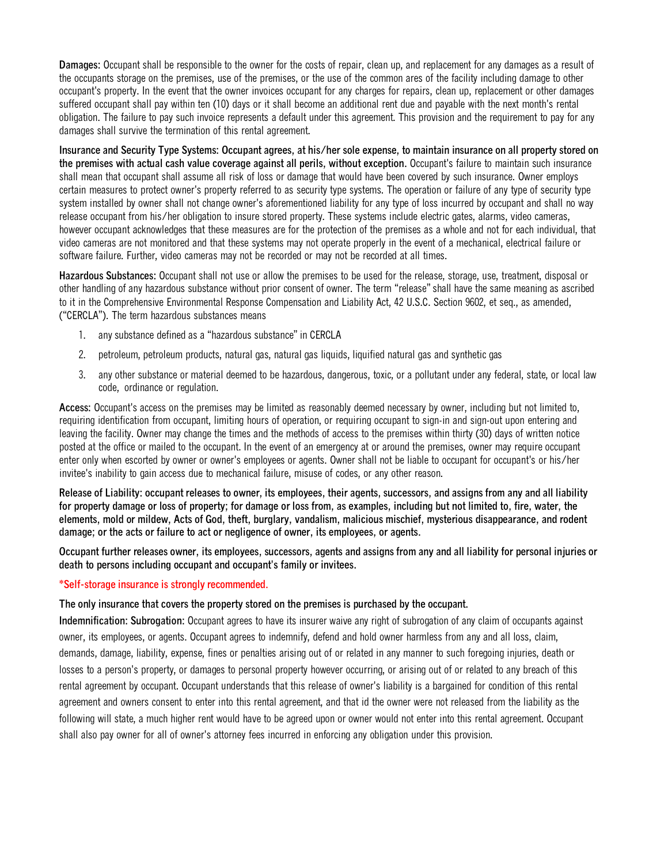**Damages:** Occupant shall be responsible to the owner for the costs of repair, clean up, and replacement for any damages as a result of the occupants storage on the premises, use of the premises, or the use of the common ares of the facility including damage to other occupant's property. In the event that the owner invoices occupant for any charges for repairs, clean up, replacement or other damages suffered occupant shall pay within ten (10) days or it shall become an additional rent due and payable with the next month's rental obligation. The failure to pay such invoice represents a default under this agreement. This provision and the requirement to pay for any damages shall survive the termination of this rental agreement.

Insurance and Security Type Systems: Occupant agrees, at his/her sole expense, to maintain insurance on all property stored on **the premises with actual cash value coverage against all perils, without exception.** Occupant's failure to maintain such insurance shall mean that occupant shall assume all risk of loss or damage that would have been covered by such insurance. Owner employs certain measures to protect owner's property referred to as security type systems. The operation or failure of any type of security type system installed by owner shall not change owner's aforementioned liability for any type of loss incurred by occupant and shall no way release occupant from his/her obligation to insure stored property. These systems include electric gates, alarms, video cameras, however occupant acknowledges that these measures are for the protection of the premises as a whole and not for each individual, that video cameras are not monitored and that these systems may not operate properly in the event of a mechanical, electrical failure or software failure. Further, video cameras may not be recorded or may not be recorded at all times.

**Hazardous Substances:** Occupant shall not use or allow the premises to be used for the release, storage, use, treatment, disposal or other handling of any hazardous substance without prior consent of owner. The term "release" shall have the same meaning as ascribed to it in the Comprehensive Environmental Response Compensation and Liability Act, 42 U.S.C. Section 9602, et seq., as amended, ("CERCLA"). The term hazardous substances means

- 1. any substance defined as a "hazardous substance" in CERCLA
- 2. petroleum, petroleum products, natural gas, natural gas liquids, liquified natural gas and synthetic gas
- 3. any other substance or material deemed to be hazardous, dangerous, toxic, or a pollutant under any federal, state, or local law code, ordinance or regulation.

**Access:** Occupant's access on the premises may be limited as reasonably deemed necessary by owner, including but not limited to, requiring identification from occupant, limiting hours of operation, or requiring occupant to sign-in and sign-out upon entering and leaving the facility. Owner may change the times and the methods of access to the premises within thirty (30) days of written notice posted at the office or mailed to the occupant. In the event of an emergency at or around the premises, owner may require occupant enter only when escorted by owner or owner's employees or agents. Owner shall not be liable to occupant for occupant's or his/her invitee's inability to gain access due to mechanical failure, misuse of codes, or any other reason.

Release of Liability: occupant releases to owner, its employees, their agents, successors, and assigns from any and all liability **for property damage or loss of property; for damage or loss from, as examples, including but not limited to, fire, water, the elements, mold or mildew, Acts of God, theft, burglary, vandalism, malicious mischief, mysterious disappearance, and rodent damage; or the acts or failure to act or negligence of owner, its employees, or agents.**

Occupant further releases owner, its employees, successors, agents and assigns from any and all liability for personal injuries or **death to persons including occupant and occupant's family or invitees.**

### **\*Self-storage insurance is strongly recommended.**

### **The only insurance that covers the property stored on the premises is purchased by the occupant.**

**Indemnification: Subrogation:** Occupant agrees to have its insurer waive any right of subrogation of any claim of occupants against owner, its employees, or agents. Occupant agrees to indemnify, defend and hold owner harmless from any and all loss, claim, demands, damage, liability, expense, fines or penalties arising out of or related in any manner to such foregoing injuries, death or losses to a person's property, or damages to personal property however occurring, or arising out of or related to any breach of this rental agreement by occupant. Occupant understands that this release of owner's liability is a bargained for condition of this rental agreement and owners consent to enter into this rental agreement, and that id the owner were not released from the liability as the following will state, a much higher rent would have to be agreed upon or owner would not enter into this rental agreement. Occupant shall also pay owner for all of owner's attorney fees incurred in enforcing any obligation under this provision.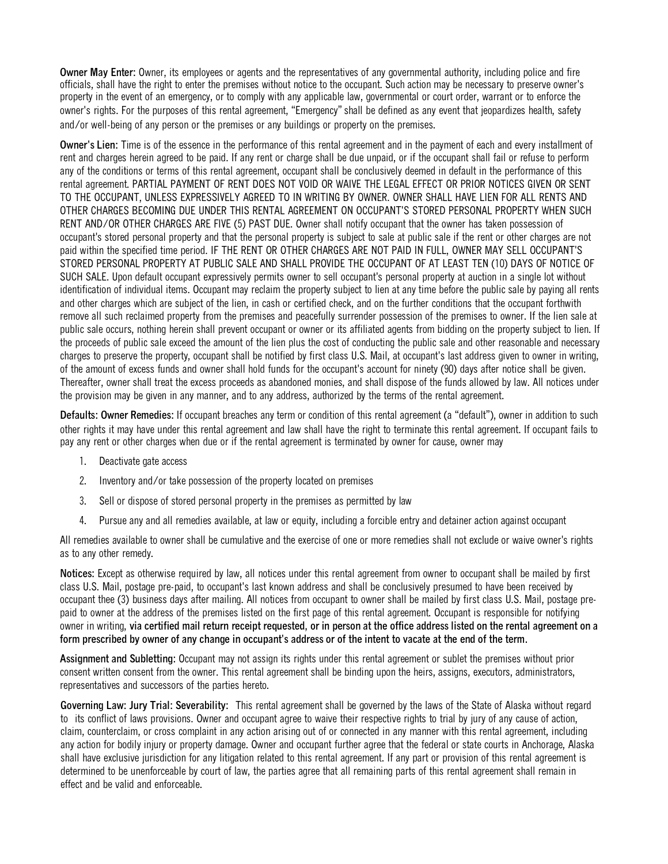**Owner May Enter:** Owner, its employees or agents and the representatives of any governmental authority, including police and fire officials, shall have the right to enter the premises without notice to the occupant. Such action may be necessary to preserve owner's property in the event of an emergency, or to comply with any applicable law, governmental or court order, warrant or to enforce the owner's rights. For the purposes of this rental agreement, "Emergency" shall be defined as any event that jeopardizes health, safety and/or well-being of any person or the premises or any buildings or property on the premises.

**Owner's Lien:** Time is of the essence in the performance of this rental agreement and in the payment of each and every installment of rent and charges herein agreed to be paid. If any rent or charge shall be due unpaid, or if the occupant shall fail or refuse to perform any of the conditions or terms of this rental agreement, occupant shall be conclusively deemed in default in the performance of this rental agreement. PARTIAL PAYMENT OF RENT DOES NOT VOID OR WAIVE THE LEGAL EFFECT OR PRIOR NOTICES GIVEN OR SENT TO THE OCCUPANT, UNLESS EXPRESSIVELY AGREED TO IN WRITING BY OWNER. OWNER SHALL HAVE LIEN FOR ALL RENTS AND OTHER CHARGES BECOMING DUE UNDER THIS RENTAL AGREEMENT ON OCCUPANT'S STORED PERSONAL PROPERTY WHEN SUCH RENT AND/OR OTHER CHARGES ARE FIVE (5) PAST DUE. Owner shall notify occupant that the owner has taken possession of occupant's stored personal property and that the personal property is subject to sale at public sale if the rent or other charges are not paid within the specified time period. IF THE RENT OR OTHER CHARGES ARE NOT PAID IN FULL, OWNER MAY SELL OCCUPANT'S STORED PERSONAL PROPERTY AT PUBLIC SALE AND SHALL PROVIDE THE OCCUPANT OF AT LEAST TEN (10) DAYS OF NOTICE OF SUCH SALE. Upon default occupant expressively permits owner to sell occupant's personal property at auction in a single lot without identification of individual items. Occupant may reclaim the property subject to lien at any time before the public sale by paying all rents and other charges which are subject of the lien, in cash or certified check, and on the further conditions that the occupant forthwith remove all such reclaimed property from the premises and peacefully surrender possession of the premises to owner. If the lien sale at public sale occurs, nothing herein shall prevent occupant or owner or its affiliated agents from bidding on the property subject to lien. If the proceeds of public sale exceed the amount of the lien plus the cost of conducting the public sale and other reasonable and necessary charges to preserve the property, occupant shall be notified by first class U.S. Mail, at occupant's last address given to owner in writing, of the amount of excess funds and owner shall hold funds for the occupant's account for ninety (90) days after notice shall be given. Thereafter, owner shall treat the excess proceeds as abandoned monies, and shall dispose of the funds allowed by law. All notices under the provision may be given in any manner, and to any address, authorized by the terms of the rental agreement.

**Defaults: Owner Remedies:** If occupant breaches any term or condition of this rental agreement (a "default"), owner in addition to such other rights it may have under this rental agreement and law shall have the right to terminate this rental agreement. If occupant fails to pay any rent or other charges when due or if the rental agreement is terminated by owner for cause, owner may

- 1. Deactivate gate access
- 2. Inventory and/or take possession of the property located on premises
- 3. Sell or dispose of stored personal property in the premises as permitted by law
- 4. Pursue any and all remedies available, at law or equity, including a forcible entry and detainer action against occupant

All remedies available to owner shall be cumulative and the exercise of one or more remedies shall not exclude or waive owner's rights as to any other remedy.

**Notices:** Except as otherwise required by law, all notices under this rental agreement from owner to occupant shall be mailed by first class U.S. Mail, postage pre-paid, to occupant's last known address and shall be conclusively presumed to have been received by occupant thee (3) business days after mailing. All notices from occupant to owner shall be mailed by first class U.S. Mail, postage prepaid to owner at the address of the premises listed on the first page of this rental agreement. Occupant is responsible for notifying owner in writing, via certified mail return receipt requested, or in person at the office address listed on the rental agreement on a **form prescribed by owner of any change in occupant's address or of the intent to vacate at the end of the term.**

**Assignment and Subletting:** Occupant may not assign its rights under this rental agreement or sublet the premises without prior consent written consent from the owner. This rental agreement shall be binding upon the heirs, assigns, executors, administrators, representatives and successors of the parties hereto.

**Governing Law: Jury Trial: Severability:** This rental agreement shall be governed by the laws of the State of Alaska without regard to its conflict of laws provisions. Owner and occupant agree to waive their respective rights to trial by jury of any cause of action, claim, counterclaim, or cross complaint in any action arising out of or connected in any manner with this rental agreement, including any action for bodily injury or property damage. Owner and occupant further agree that the federal or state courts in Anchorage, Alaska shall have exclusive jurisdiction for any litigation related to this rental agreement. If any part or provision of this rental agreement is determined to be unenforceable by court of law, the parties agree that all remaining parts of this rental agreement shall remain in effect and be valid and enforceable.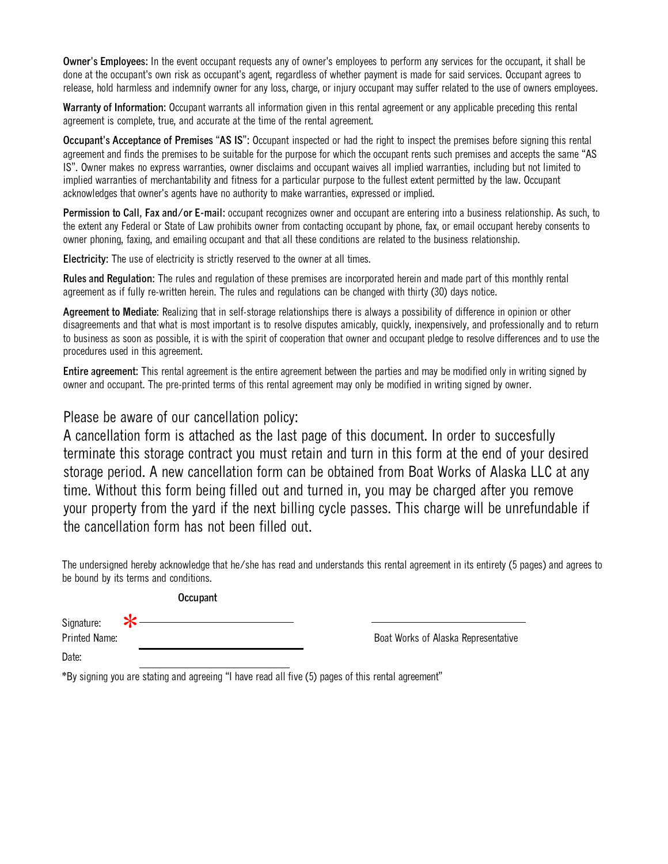**Owner's Employees:** In the event occupant requests any of owner's employees to perform any services for the occupant, it shall be done at the occupant's own risk as occupant's agent, regardless of whether payment is made for said services. Occupant agrees to release, hold harmless and indemnify owner for any loss, charge, or injury occupant may suffer related to the use of owners employees.

**Warranty of Information:** Occupant warrants all information given in this rental agreement or any applicable preceding this rental agreement is complete, true, and accurate at the time of the rental agreement.

**Occupant's Acceptance of Premises** "**AS IS**"**:** Occupant inspected or had the right to inspect the premises before signing this rental agreement and finds the premises to be suitable for the purpose for which the occupant rents such premises and accepts the same "AS IS". Owner makes no express warranties, owner disclaims and occupant waives all implied warranties, including but not limited to implied warranties of merchantability and fitness for a particular purpose to the fullest extent permitted by the law. Occupant acknowledges that owner's agents have no authority to make warranties, expressed or implied.

**Permission to Call, Fax and/or E-mail:** occupant recognizes owner and occupant are entering into a business relationship. As such, to the extent any Federal or State of Law prohibits owner from contacting occupant by phone, fax, or email occupant hereby consents to owner phoning, faxing, and emailing occupant and that all these conditions are related to the business relationship.

**Electricity:** The use of electricity is strictly reserved to the owner at all times.

**Rules and Regulation:** The rules and regulation of these premises are incorporated herein and made part of this monthly rental agreement as if fully re-written herein. The rules and regulations can be changed with thirty (30) days notice.

**Agreement to Mediate**: Realizing that in self-storage relationships there is always a possibility of difference in opinion or other disagreements and that what is most important is to resolve disputes amicably, quickly, inexpensively, and professionally and to return to business as soon as possible, it is with the spirit of cooperation that owner and occupant pledge to resolve differences and to use the procedures used in this agreement.

**Entire agreement:** This rental agreement is the entire agreement between the parties and may be modified only in writing signed by owner and occupant. The pre-printed terms of this rental agreement may only be modified in writing signed by owner.

## Please be aware of our cancellation policy:

A cancellation form is attached as the last page of this document. In order to succesfully terminate this storage contract you must retain and turn in this form at the end of your desired storage period. A new cancellation form can be obtained from Boat Works of Alaska LLC at any time. Without this form being filled out and turned in, you may be charged after you remove your property from the yard if the next billing cycle passes. This charge will be unrefundable if the cancellation form has not been filled out.

The undersigned hereby acknowledge that he/she has read and understands this rental agreement in its entirety (5 pages) and agrees to be bound by its terms and conditions.

### **Occupant**

Signature: Printed Name: \* Date:

Boat Works of Alaska Representative

**\***By signing you are stating and agreeing "I have read all five (5) pages of this rental agreement"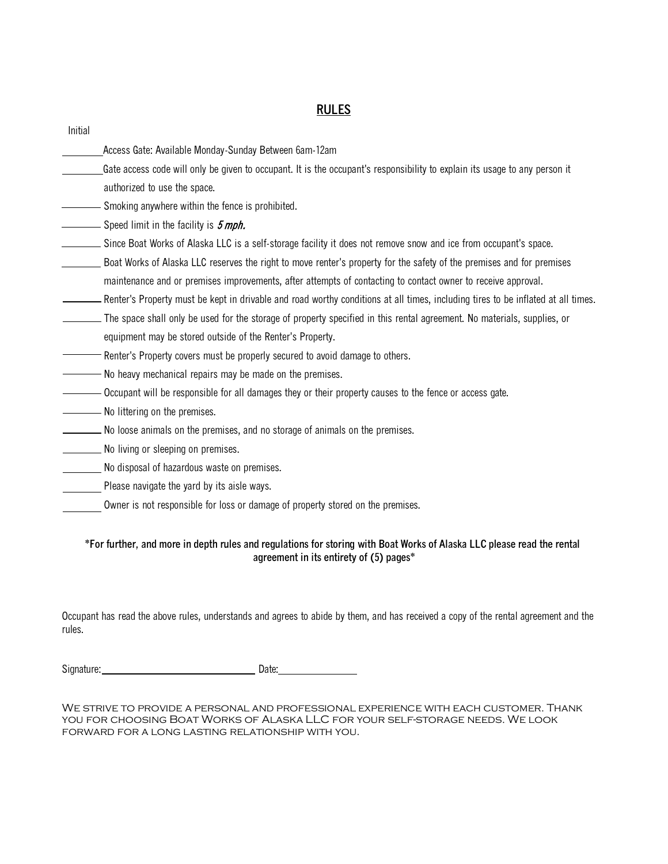### **RULES**

| Initial |                                                                                                                                  |
|---------|----------------------------------------------------------------------------------------------------------------------------------|
|         | Access Gate: Available Monday-Sunday Between 6am-12am                                                                            |
|         | Gate access code will only be given to occupant. It is the occupant's responsibility to explain its usage to any person it       |
|         | authorized to use the space.                                                                                                     |
|         | Smoking anywhere within the fence is prohibited.                                                                                 |
|         | Speed limit in the facility is 5 mph.                                                                                            |
|         | Since Boat Works of Alaska LLC is a self-storage facility it does not remove snow and ice from occupant's space.                 |
|         | Boat Works of Alaska LLC reserves the right to move renter's property for the safety of the premises and for premises            |
|         | maintenance and or premises improvements, after attempts of contacting to contact owner to receive approval.                     |
|         | Renter's Property must be kept in drivable and road worthy conditions at all times, including tires to be inflated at all times. |
|         | The space shall only be used for the storage of property specified in this rental agreement. No materials, supplies, or          |
|         | equipment may be stored outside of the Renter's Property.                                                                        |
|         | Renter's Property covers must be properly secured to avoid damage to others.                                                     |
|         | No heavy mechanical repairs may be made on the premises.                                                                         |
|         | Occupant will be responsible for all damages they or their property causes to the fence or access gate.                          |
|         | No littering on the premises.                                                                                                    |
|         | No loose animals on the premises, and no storage of animals on the premises.                                                     |
|         | No living or sleeping on premises.                                                                                               |
|         | No disposal of hazardous waste on premises.                                                                                      |
|         | Please navigate the yard by its aisle ways.                                                                                      |
|         | Owner is not responsible for loss or damage of property stored on the premises.                                                  |

### \*For further, and more in depth rules and regulations for storing with Boat Works of Alaska LLC please read the rental **agreement in its entirety of (5) pages\***

Occupant has read the above rules, understands and agrees to abide by them, and has received a copy of the rental agreement and the rules.

Signature: 2000 Contract Contract Contract Contract Contract Contract Contract Contract Contract Contract Contract Contract Contract Contract Contract Contract Contract Contract Contract Contract Contract Contract Contract

We strive to provide a personal and professional experience with each customer. Thank you for choosing Boat Works of Alaska LLC for your self-storage needs. We look forward for a long lasting relationship with you.